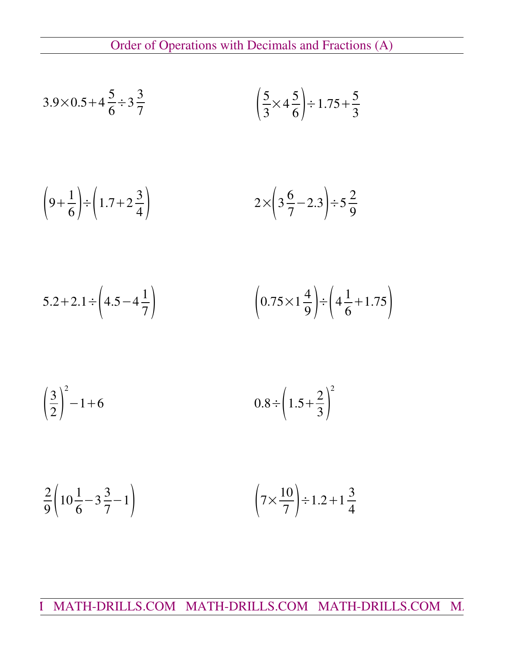Order of Operations with Decimals and Fractions (A)

$$
3.9 \times 0.5 + 4\frac{5}{6} \div 3\frac{3}{7}
$$
\n
$$
\left(\frac{5}{3} \times 4\frac{5}{6}\right) \div 1.75 + \frac{5}{3}
$$

$$
\left(9+\frac{1}{6}\right) \div \left(1.7+2\frac{3}{4}\right) \qquad \qquad 2 \times \left(3\frac{6}{7}-2.3\right) \div 5\frac{2}{9}
$$

$$
5.2 + 2.1 \div \left(4.5 - 4\frac{1}{7}\right) \qquad \qquad \left(0.75 \times 1\frac{4}{9}\right) \div \left(4\frac{1}{6} + 1.75\right)
$$

$$
\left(\frac{3}{2}\right)^2 - 1 + 6 \qquad \qquad 0.8 \div \left(1.5 + \frac{2}{3}\right)^2
$$

$$
\frac{2}{9}\left(10\frac{1}{6}-3\frac{3}{7}-1\right) \qquad \qquad \left(7 \times \frac{10}{7}\right) \div 1.2 + 1\frac{3}{4}
$$

I MATH-DRILLS.COM MATH-DRILLS.COM MATH-DRILLS.COM M.